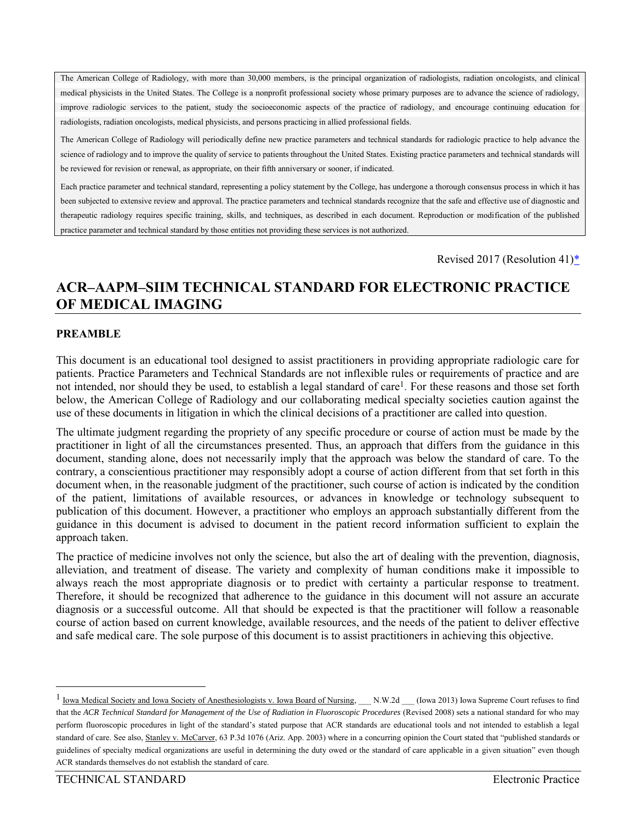The American College of Radiology, with more than 30,000 members, is the principal organization of radiologists, radiation oncologists, and clinical medical physicists in the United States. The College is a nonprofit professional society whose primary purposes are to advance the science of radiology, improve radiologic services to the patient, study the socioeconomic aspects of the practice of radiology, and encourage continuing education for radiologists, radiation oncologists, medical physicists, and persons practicing in allied professional fields.

The American College of Radiology will periodically define new practice parameters and technical standards for radiologic practice to help advance the science of radiology and to improve the quality of service to patients throughout the United States. Existing practice parameters and technical standards will be reviewed for revision or renewal, as appropriate, on their fifth anniversary or sooner, if indicated.

Each practice parameter and technical standard, representing a policy statement by the College, has undergone a thorough consensus process in which it has been subjected to extensive review and approval. The practice parameters and technical standards recognize that the safe and effective use of diagnostic and therapeutic radiology requires specific training, skills, and techniques, as described in each document. Reproduction or modification of the published practice parameter and technical standard by those entities not providing these services is not authorized.

Revised 2017 (Resolution 41[\)\\*](#page-20-0)

# **ACR–AAPM–SIIM TECHNICAL STANDARD FOR ELECTRONIC PRACTICE OF MEDICAL IMAGING**

## **PREAMBLE**

This document is an educational tool designed to assist practitioners in providing appropriate radiologic care for patients. Practice Parameters and Technical Standards are not inflexible rules or requirements of practice and are not intended, nor should they be used, to establish a legal standard of care<sup>1</sup>. For these reasons and those set forth below, the American College of Radiology and our collaborating medical specialty societies caution against the use of these documents in litigation in which the clinical decisions of a practitioner are called into question.

The ultimate judgment regarding the propriety of any specific procedure or course of action must be made by the practitioner in light of all the circumstances presented. Thus, an approach that differs from the guidance in this document, standing alone, does not necessarily imply that the approach was below the standard of care. To the contrary, a conscientious practitioner may responsibly adopt a course of action different from that set forth in this document when, in the reasonable judgment of the practitioner, such course of action is indicated by the condition of the patient, limitations of available resources, or advances in knowledge or technology subsequent to publication of this document. However, a practitioner who employs an approach substantially different from the guidance in this document is advised to document in the patient record information sufficient to explain the approach taken.

The practice of medicine involves not only the science, but also the art of dealing with the prevention, diagnosis, alleviation, and treatment of disease. The variety and complexity of human conditions make it impossible to always reach the most appropriate diagnosis or to predict with certainty a particular response to treatment. Therefore, it should be recognized that adherence to the guidance in this document will not assure an accurate diagnosis or a successful outcome. All that should be expected is that the practitioner will follow a reasonable course of action based on current knowledge, available resources, and the needs of the patient to deliver effective and safe medical care. The sole purpose of this document is to assist practitioners in achieving this objective.

 $\overline{a}$ 

<sup>&</sup>lt;sup>1</sup> Iowa Medical Society and Iowa Society of Anesthesiologists v. Iowa Board of Nursing, N.W.2d (Iowa 2013) Iowa Supreme Court refuses to find that the *ACR Technical Standard for Management of the Use of Radiation in Fluoroscopic Procedures* (Revised 2008) sets a national standard for who may perform fluoroscopic procedures in light of the standard's stated purpose that ACR standards are educational tools and not intended to establish a legal standard of care. See also, Stanley v. McCarver, 63 P.3d 1076 (Ariz. App. 2003) where in a concurring opinion the Court stated that "published standards or guidelines of specialty medical organizations are useful in determining the duty owed or the standard of care applicable in a given situation" even though ACR standards themselves do not establish the standard of care.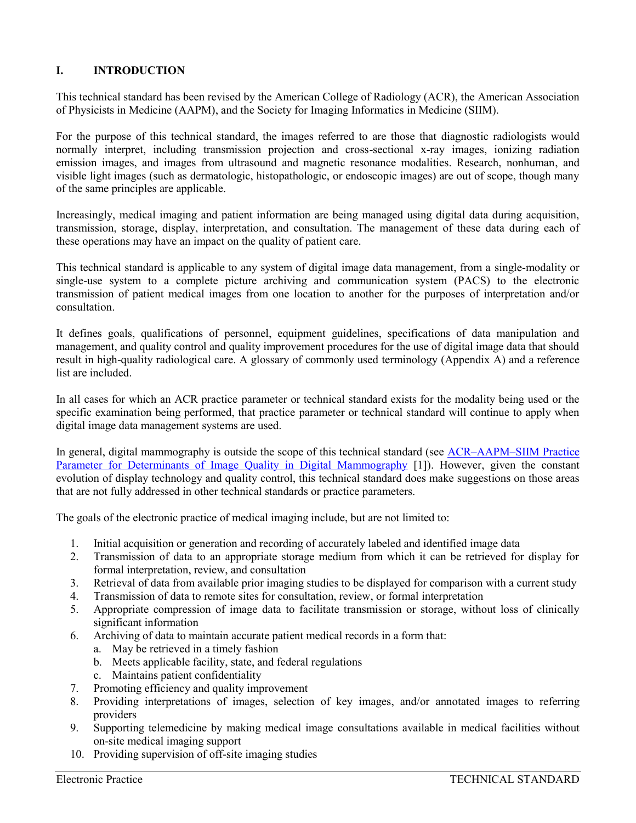## **I. INTRODUCTION**

This technical standard has been revised by the American College of Radiology (ACR), the American Association of Physicists in Medicine (AAPM), and the Society for Imaging Informatics in Medicine (SIIM).

For the purpose of this technical standard, the images referred to are those that diagnostic radiologists would normally interpret, including transmission projection and cross-sectional x-ray images, ionizing radiation emission images, and images from ultrasound and magnetic resonance modalities. Research, nonhuman, and visible light images (such as dermatologic, histopathologic, or endoscopic images) are out of scope, though many of the same principles are applicable.

Increasingly, medical imaging and patient information are being managed using digital data during acquisition, transmission, storage, display, interpretation, and consultation. The management of these data during each of these operations may have an impact on the quality of patient care.

This technical standard is applicable to any system of digital image data management, from a single-modality or single-use system to a complete picture archiving and communication system (PACS) to the electronic transmission of patient medical images from one location to another for the purposes of interpretation and/or consultation.

It defines goals, qualifications of personnel, equipment guidelines, specifications of data manipulation and management, and quality control and quality improvement procedures for the use of digital image data that should result in high-quality radiological care. A glossary of commonly used terminology (Appendix A) and a reference list are included.

In all cases for which an ACR practice parameter or technical standard exists for the modality being used or the specific examination being performed, that practice parameter or technical standard will continue to apply when digital image data management systems are used.

In general, digital mammography is outside the scope of this technical standard (see [ACR–AAPM–SIIM Practice](https://www.acr.org/-/media/ACR/Files/Practice-Parameters/Dig-Mamo.pdf)  Parameter [for Determinants of Image Quality in Digital Mammography](https://www.acr.org/-/media/ACR/Files/Practice-Parameters/Dig-Mamo.pdf) [\[1\]](#page-16-0)). However, given the constant evolution of display technology and quality control, this technical standard does make suggestions on those areas that are not fully addressed in other technical standards or practice parameters.

The goals of the electronic practice of medical imaging include, but are not limited to:

- 1. Initial acquisition or generation and recording of accurately labeled and identified image data
- 2. Transmission of data to an appropriate storage medium from which it can be retrieved for display for formal interpretation, review, and consultation
- 3. Retrieval of data from available prior imaging studies to be displayed for comparison with a current study
- 4. Transmission of data to remote sites for consultation, review, or formal interpretation
- 5. Appropriate compression of image data to facilitate transmission or storage, without loss of clinically significant information
- 6. Archiving of data to maintain accurate patient medical records in a form that:
	- a. May be retrieved in a timely fashion
	- b. Meets applicable facility, state, and federal regulations
	- c. Maintains patient confidentiality
- 7. Promoting efficiency and quality improvement
- 8. Providing interpretations of images, selection of key images, and/or annotated images to referring providers
- 9. Supporting telemedicine by making medical image consultations available in medical facilities without on-site medical imaging support
- 10. Providing supervision of off-site imaging studies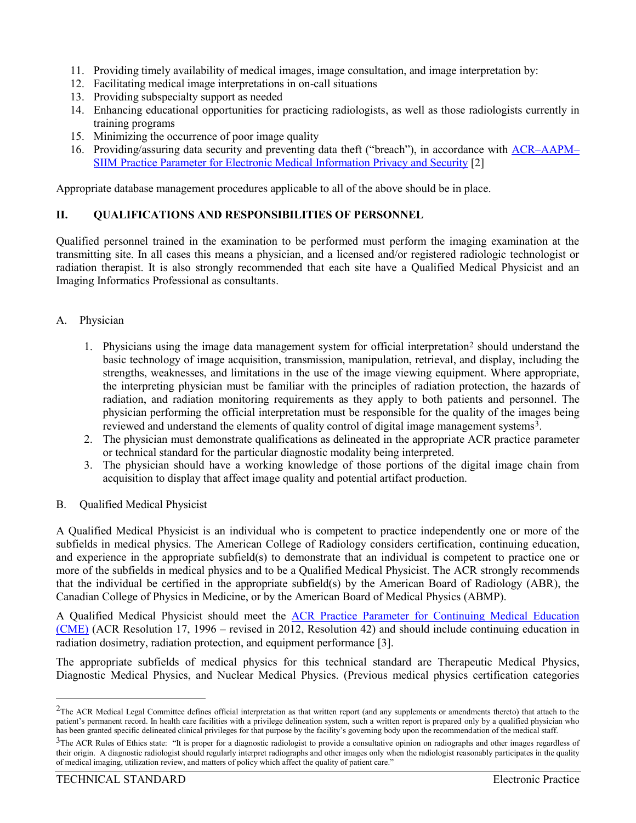- 11. Providing timely availability of medical images, image consultation, and image interpretation by:
- 12. Facilitating medical image interpretations in on-call situations
- 13. Providing subspecialty support as needed
- 14. Enhancing educational opportunities for practicing radiologists, as well as those radiologists currently in training programs
- 15. Minimizing the occurrence of poor image quality
- 16. Providing/assuring data security and preventing data theft ("breach"), in accordance with [ACR–AAPM–](https://www.acr.org/-/media/ACR/Files/Practice-Parameters/Elec-Info-Privacy.pdf) [SIIM Practice Parameter for Electronic Medical Information Privacy and Security](https://www.acr.org/-/media/ACR/Files/Practice-Parameters/Elec-Info-Privacy.pdf) [\[2\]](#page-16-1)

Appropriate database management procedures applicable to all of the above should be in place.

## **II. QUALIFICATIONS AND RESPONSIBILITIES OF PERSONNEL**

Qualified personnel trained in the examination to be performed must perform the imaging examination at the transmitting site. In all cases this means a physician, and a licensed and/or registered radiologic technologist or radiation therapist. It is also strongly recommended that each site have a Qualified Medical Physicist and an Imaging Informatics Professional as consultants.

- A. Physician
	- 1. Physicians using the image data management system for official interpretation<sup>2</sup> should understand the basic technology of image acquisition, transmission, manipulation, retrieval, and display, including the strengths, weaknesses, and limitations in the use of the image viewing equipment. Where appropriate, the interpreting physician must be familiar with the principles of radiation protection, the hazards of radiation, and radiation monitoring requirements as they apply to both patients and personnel. The physician performing the official interpretation must be responsible for the quality of the images being reviewed and understand the elements of quality control of digital image management systems3.
	- 2. The physician must demonstrate qualifications as delineated in the appropriate ACR practice parameter or technical standard for the particular diagnostic modality being interpreted.
	- 3. The physician should have a working knowledge of those portions of the digital image chain from acquisition to display that affect image quality and potential artifact production.
- B. Qualified Medical Physicist

A Qualified Medical Physicist is an individual who is competent to practice independently one or more of the subfields in medical physics. The American College of Radiology considers certification, continuing education, and experience in the appropriate subfield(s) to demonstrate that an individual is competent to practice one or more of the subfields in medical physics and to be a Qualified Medical Physicist. The ACR strongly recommends that the individual be certified in the appropriate subfield(s) by the American Board of Radiology (ABR), the Canadian College of Physics in Medicine, or by the American Board of Medical Physics (ABMP).

A Qualified Medical Physicist should meet the ACR Practice Parameter [for Continuing Medical Education](https://www.acr.org/-/media/ACR/Files/Practice-Parameters/CME.pdf)  [\(CME\)](https://www.acr.org/-/media/ACR/Files/Practice-Parameters/CME.pdf) (ACR Resolution 17, 1996 – revised in 2012, Resolution 42) and should include continuing education in radiation dosimetry, radiation protection, and equipment performance [\[3\]](#page-16-2).

The appropriate subfields of medical physics for this technical standard are Therapeutic Medical Physics, Diagnostic Medical Physics, and Nuclear Medical Physics. (Previous medical physics certification categories

 $\overline{a}$ 

<sup>&</sup>lt;sup>2</sup>The ACR Medical Legal Committee defines official interpretation as that written report (and any supplements or amendments thereto) that attach to the patient's permanent record. In health care facilities with a privilege delineation system, such a written report is prepared only by a qualified physician who has been granted specific delineated clinical privileges for that purpose by the facility's governing body upon the recommendation of the medical staff.

 $3$ The ACR Rules of Ethics state: "It is proper for a diagnostic radiologist to provide a consultative opinion on radiographs and other images regardless of their origin. A diagnostic radiologist should regularly interpret radiographs and other images only when the radiologist reasonably participates in the quality of medical imaging, utilization review, and matters of policy which affect the quality of patient care."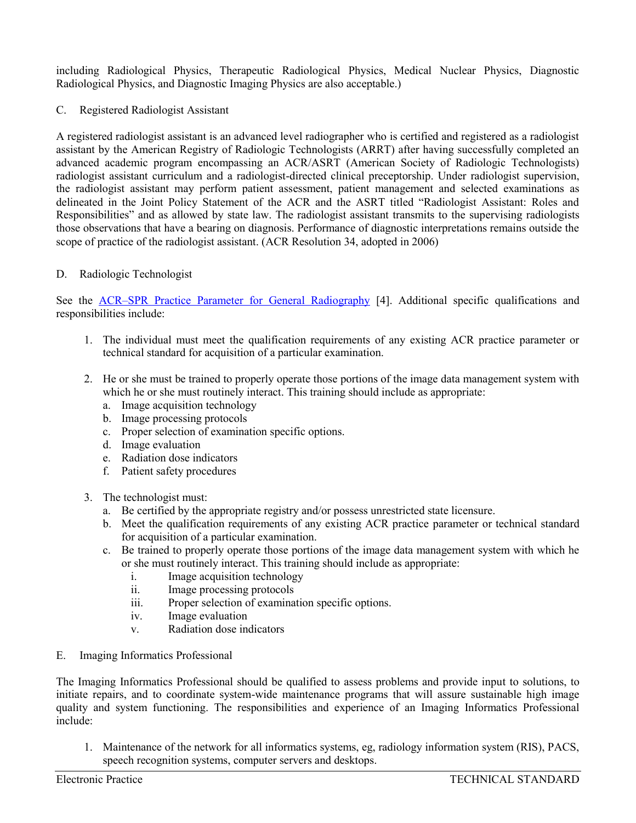including Radiological Physics, Therapeutic Radiological Physics, Medical Nuclear Physics, Diagnostic Radiological Physics, and Diagnostic Imaging Physics are also acceptable.)

C. Registered Radiologist Assistant

A registered radiologist assistant is an advanced level radiographer who is certified and registered as a radiologist assistant by the American Registry of Radiologic Technologists (ARRT) after having successfully completed an advanced academic program encompassing an ACR/ASRT (American Society of Radiologic Technologists) radiologist assistant curriculum and a radiologist-directed clinical preceptorship. Under radiologist supervision, the radiologist assistant may perform patient assessment, patient management and selected examinations as delineated in the Joint Policy Statement of the ACR and the ASRT titled "Radiologist Assistant: Roles and Responsibilities" and as allowed by state law. The radiologist assistant transmits to the supervising radiologists those observations that have a bearing on diagnosis. Performance of diagnostic interpretations remains outside the scope of practice of the radiologist assistant. (ACR Resolution 34, adopted in 2006)

#### D. Radiologic Technologist

See the **ACR–SPR** Practice Parameter for General Radiography [\[4\]](#page-16-3). Additional specific qualifications and responsibilities include:

- 1. The individual must meet the qualification requirements of any existing ACR practice parameter or technical standard for acquisition of a particular examination.
- 2. He or she must be trained to properly operate those portions of the image data management system with which he or she must routinely interact. This training should include as appropriate:
	- a. Image acquisition technology
	- b. Image processing protocols
	- c. Proper selection of examination specific options.
	- d. Image evaluation
	- e. Radiation dose indicators
	- f. Patient safety procedures
- 3. The technologist must:
	- a. Be certified by the appropriate registry and/or possess unrestricted state licensure.
	- b. Meet the qualification requirements of any existing ACR practice parameter or technical standard for acquisition of a particular examination.
	- c. Be trained to properly operate those portions of the image data management system with which he or she must routinely interact. This training should include as appropriate:
		- i. Image acquisition technology
		- ii. Image processing protocols
		- iii. Proper selection of examination specific options.
		- iv. Image evaluation
		- v. Radiation dose indicators
- E. Imaging Informatics Professional

The Imaging Informatics Professional should be qualified to assess problems and provide input to solutions, to initiate repairs, and to coordinate system-wide maintenance programs that will assure sustainable high image quality and system functioning. The responsibilities and experience of an Imaging Informatics Professional include:

1. Maintenance of the network for all informatics systems, eg, radiology information system (RIS), PACS, speech recognition systems, computer servers and desktops.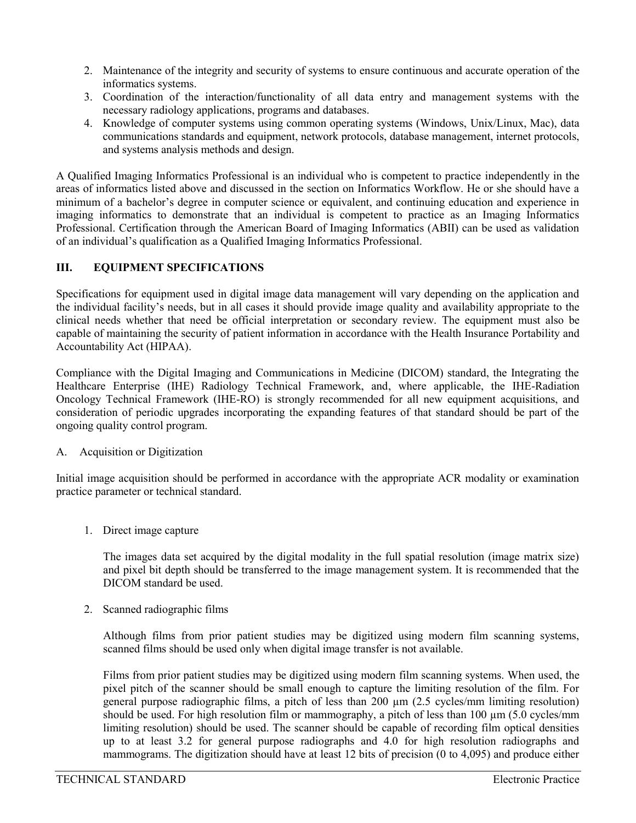- 2. Maintenance of the integrity and security of systems to ensure continuous and accurate operation of the informatics systems.
- 3. Coordination of the interaction/functionality of all data entry and management systems with the necessary radiology applications, programs and databases.
- 4. Knowledge of computer systems using common operating systems (Windows, Unix/Linux, Mac), data communications standards and equipment, network protocols, database management, internet protocols, and systems analysis methods and design.

A Qualified Imaging Informatics Professional is an individual who is competent to practice independently in the areas of informatics listed above and discussed in the section on Informatics Workflow. He or she should have a minimum of a bachelor's degree in computer science or equivalent, and continuing education and experience in imaging informatics to demonstrate that an individual is competent to practice as an Imaging Informatics Professional. Certification through the American Board of Imaging Informatics (ABII) can be used as validation of an individual's qualification as a Qualified Imaging Informatics Professional.

## **III. EQUIPMENT SPECIFICATIONS**

Specifications for equipment used in digital image data management will vary depending on the application and the individual facility's needs, but in all cases it should provide image quality and availability appropriate to the clinical needs whether that need be official interpretation or secondary review. The equipment must also be capable of maintaining the security of patient information in accordance with the Health Insurance Portability and Accountability Act (HIPAA).

Compliance with the Digital Imaging and Communications in Medicine (DICOM) standard, the Integrating the Healthcare Enterprise (IHE) Radiology Technical Framework, and, where applicable, the IHE-Radiation Oncology Technical Framework (IHE-RO) is strongly recommended for all new equipment acquisitions, and consideration of periodic upgrades incorporating the expanding features of that standard should be part of the ongoing quality control program.

A. Acquisition or Digitization

Initial image acquisition should be performed in accordance with the appropriate ACR modality or examination practice parameter or technical standard.

1. Direct image capture

The images data set acquired by the digital modality in the full spatial resolution (image matrix size) and pixel bit depth should be transferred to the image management system. It is recommended that the DICOM standard be used.

2. Scanned radiographic films

Although films from prior patient studies may be digitized using modern film scanning systems, scanned films should be used only when digital image transfer is not available.

Films from prior patient studies may be digitized using modern film scanning systems. When used, the pixel pitch of the scanner should be small enough to capture the limiting resolution of the film. For general purpose radiographic films, a pitch of less than 200 µm (2.5 cycles/mm limiting resolution) should be used. For high resolution film or mammography, a pitch of less than 100  $\mu$ m (5.0 cycles/mm limiting resolution) should be used. The scanner should be capable of recording film optical densities up to at least 3.2 for general purpose radiographs and 4.0 for high resolution radiographs and mammograms. The digitization should have at least 12 bits of precision (0 to 4,095) and produce either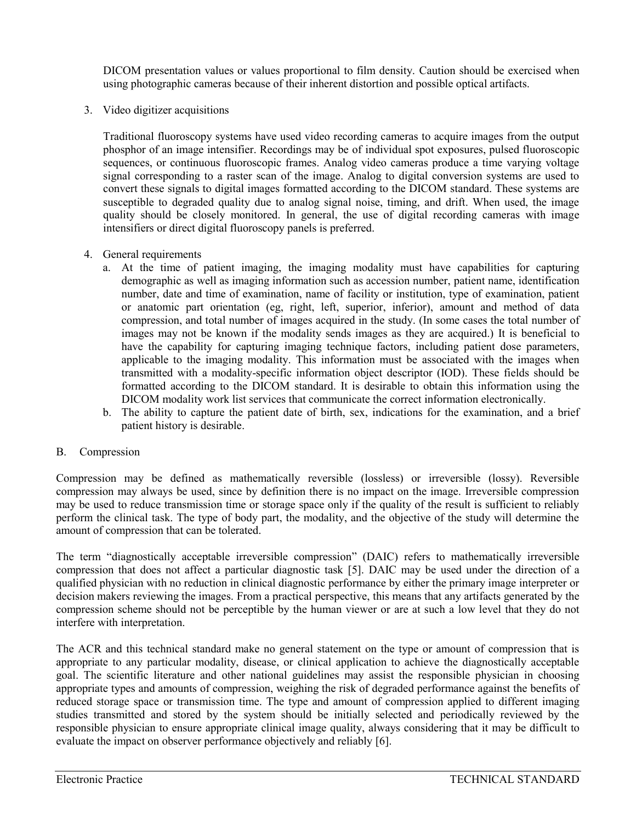DICOM presentation values or values proportional to film density. Caution should be exercised when using photographic cameras because of their inherent distortion and possible optical artifacts.

3. Video digitizer acquisitions

Traditional fluoroscopy systems have used video recording cameras to acquire images from the output phosphor of an image intensifier. Recordings may be of individual spot exposures, pulsed fluoroscopic sequences, or continuous fluoroscopic frames. Analog video cameras produce a time varying voltage signal corresponding to a raster scan of the image. Analog to digital conversion systems are used to convert these signals to digital images formatted according to the DICOM standard. These systems are susceptible to degraded quality due to analog signal noise, timing, and drift. When used, the image quality should be closely monitored. In general, the use of digital recording cameras with image intensifiers or direct digital fluoroscopy panels is preferred.

- 4. General requirements
	- a. At the time of patient imaging, the imaging modality must have capabilities for capturing demographic as well as imaging information such as accession number, patient name, identification number, date and time of examination, name of facility or institution, type of examination, patient or anatomic part orientation (eg, right, left, superior, inferior), amount and method of data compression, and total number of images acquired in the study. (In some cases the total number of images may not be known if the modality sends images as they are acquired.) It is beneficial to have the capability for capturing imaging technique factors, including patient dose parameters, applicable to the imaging modality. This information must be associated with the images when transmitted with a modality-specific information object descriptor (IOD). These fields should be formatted according to the DICOM standard. It is desirable to obtain this information using the DICOM modality work list services that communicate the correct information electronically.
	- b. The ability to capture the patient date of birth, sex, indications for the examination, and a brief patient history is desirable.

#### B. Compression

Compression may be defined as mathematically reversible (lossless) or irreversible (lossy). Reversible compression may always be used, since by definition there is no impact on the image. Irreversible compression may be used to reduce transmission time or storage space only if the quality of the result is sufficient to reliably perform the clinical task. The type of body part, the modality, and the objective of the study will determine the amount of compression that can be tolerated.

The term "diagnostically acceptable irreversible compression" (DAIC) refers to mathematically irreversible compression that does not affect a particular diagnostic task [\[5\]](#page-16-4). DAIC may be used under the direction of a qualified physician with no reduction in clinical diagnostic performance by either the primary image interpreter or decision makers reviewing the images. From a practical perspective, this means that any artifacts generated by the compression scheme should not be perceptible by the human viewer or are at such a low level that they do not interfere with interpretation.

The ACR and this technical standard make no general statement on the type or amount of compression that is appropriate to any particular modality, disease, or clinical application to achieve the diagnostically acceptable goal. The scientific literature and other national guidelines may assist the responsible physician in choosing appropriate types and amounts of compression, weighing the risk of degraded performance against the benefits of reduced storage space or transmission time. The type and amount of compression applied to different imaging studies transmitted and stored by the system should be initially selected and periodically reviewed by the responsible physician to ensure appropriate clinical image quality, always considering that it may be difficult to evaluate the impact on observer performance objectively and reliably [\[6\]](#page-16-5).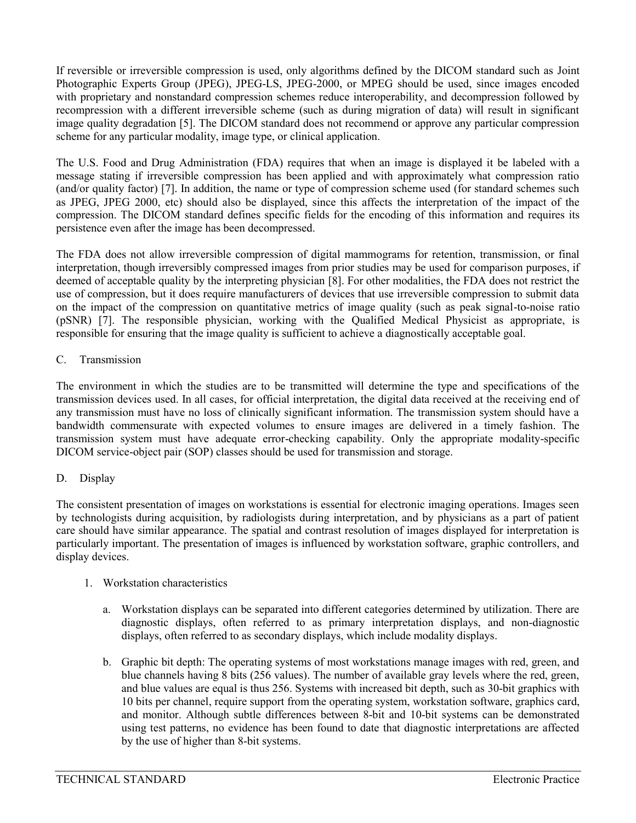If reversible or irreversible compression is used, only algorithms defined by the DICOM standard such as Joint Photographic Experts Group (JPEG), JPEG-LS, JPEG-2000, or MPEG should be used, since images encoded with proprietary and nonstandard compression schemes reduce interoperability, and decompression followed by recompression with a different irreversible scheme (such as during migration of data) will result in significant image quality degradation [\[5\]](#page-16-4). The DICOM standard does not recommend or approve any particular compression scheme for any particular modality, image type, or clinical application.

The U.S. Food and Drug Administration (FDA) requires that when an image is displayed it be labeled with a message stating if irreversible compression has been applied and with approximately what compression ratio (and/or quality factor) [\[7\]](#page-16-6). In addition, the name or type of compression scheme used (for standard schemes such as JPEG, JPEG 2000, etc) should also be displayed, since this affects the interpretation of the impact of the compression. The DICOM standard defines specific fields for the encoding of this information and requires its persistence even after the image has been decompressed.

The FDA does not allow irreversible compression of digital mammograms for retention, transmission, or final interpretation, though irreversibly compressed images from prior studies may be used for comparison purposes, if deemed of acceptable quality by the interpreting physician [\[8\]](#page-16-7). For other modalities, the FDA does not restrict the use of compression, but it does require manufacturers of devices that use irreversible compression to submit data on the impact of the compression on quantitative metrics of image quality (such as peak signal-to-noise ratio (pSNR) [\[7\]](#page-16-6). The responsible physician, working with the Qualified Medical Physicist as appropriate, is responsible for ensuring that the image quality is sufficient to achieve a diagnostically acceptable goal.

## C. Transmission

The environment in which the studies are to be transmitted will determine the type and specifications of the transmission devices used. In all cases, for official interpretation, the digital data received at the receiving end of any transmission must have no loss of clinically significant information. The transmission system should have a bandwidth commensurate with expected volumes to ensure images are delivered in a timely fashion. The transmission system must have adequate error-checking capability. Only the appropriate modality-specific DICOM service-object pair (SOP) classes should be used for transmission and storage.

## D. Display

The consistent presentation of images on workstations is essential for electronic imaging operations. Images seen by technologists during acquisition, by radiologists during interpretation, and by physicians as a part of patient care should have similar appearance. The spatial and contrast resolution of images displayed for interpretation is particularly important. The presentation of images is influenced by workstation software, graphic controllers, and display devices.

- 1. Workstation characteristics
	- a. Workstation displays can be separated into different categories determined by utilization. There are diagnostic displays, often referred to as primary interpretation displays, and non-diagnostic displays, often referred to as secondary displays, which include modality displays.
	- b. Graphic bit depth: The operating systems of most workstations manage images with red, green, and blue channels having 8 bits (256 values). The number of available gray levels where the red, green, and blue values are equal is thus 256. Systems with increased bit depth, such as 30-bit graphics with 10 bits per channel, require support from the operating system, workstation software, graphics card, and monitor. Although subtle differences between 8-bit and 10-bit systems can be demonstrated using test patterns, no evidence has been found to date that diagnostic interpretations are affected by the use of higher than 8-bit systems.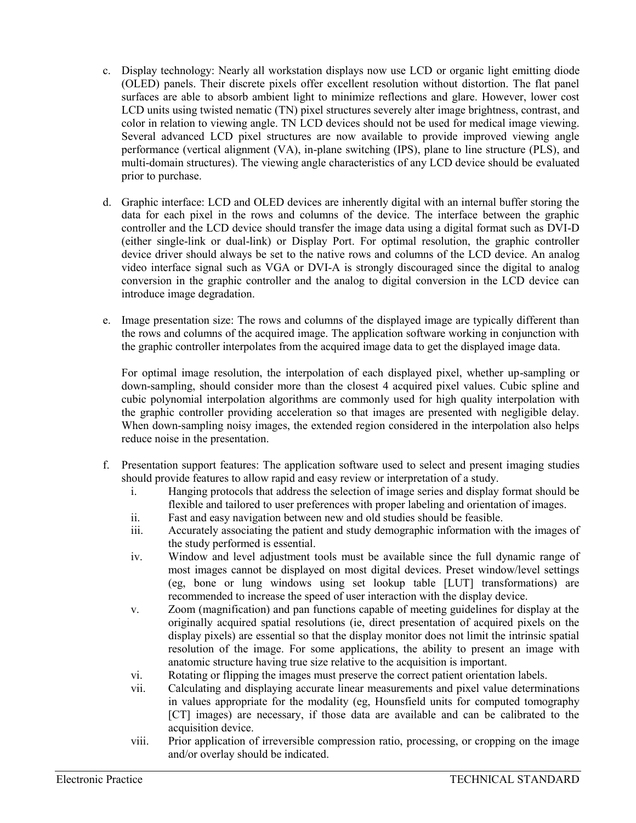- c. Display technology: Nearly all workstation displays now use LCD or organic light emitting diode (OLED) panels. Their discrete pixels offer excellent resolution without distortion. The flat panel surfaces are able to absorb ambient light to minimize reflections and glare. However, lower cost LCD units using twisted nematic (TN) pixel structures severely alter image brightness, contrast, and color in relation to viewing angle. TN LCD devices should not be used for medical image viewing. Several advanced LCD pixel structures are now available to provide improved viewing angle performance (vertical alignment (VA), in-plane switching (IPS), plane to line structure (PLS), and multi-domain structures). The viewing angle characteristics of any LCD device should be evaluated prior to purchase.
- d. Graphic interface: LCD and OLED devices are inherently digital with an internal buffer storing the data for each pixel in the rows and columns of the device. The interface between the graphic controller and the LCD device should transfer the image data using a digital format such as DVI-D (either single-link or dual-link) or Display Port. For optimal resolution, the graphic controller device driver should always be set to the native rows and columns of the LCD device. An analog video interface signal such as VGA or DVI-A is strongly discouraged since the digital to analog conversion in the graphic controller and the analog to digital conversion in the LCD device can introduce image degradation.
- e. Image presentation size: The rows and columns of the displayed image are typically different than the rows and columns of the acquired image. The application software working in conjunction with the graphic controller interpolates from the acquired image data to get the displayed image data.

For optimal image resolution, the interpolation of each displayed pixel, whether up-sampling or down-sampling, should consider more than the closest 4 acquired pixel values. Cubic spline and cubic polynomial interpolation algorithms are commonly used for high quality interpolation with the graphic controller providing acceleration so that images are presented with negligible delay. When down-sampling noisy images, the extended region considered in the interpolation also helps reduce noise in the presentation.

- f. Presentation support features: The application software used to select and present imaging studies should provide features to allow rapid and easy review or interpretation of a study.
	- i. Hanging protocols that address the selection of image series and display format should be flexible and tailored to user preferences with proper labeling and orientation of images.
	- ii. Fast and easy navigation between new and old studies should be feasible.
	- iii. Accurately associating the patient and study demographic information with the images of the study performed is essential.
	- iv. Window and level adjustment tools must be available since the full dynamic range of most images cannot be displayed on most digital devices. Preset window/level settings (eg, bone or lung windows using set lookup table [LUT] transformations) are recommended to increase the speed of user interaction with the display device.
	- v. Zoom (magnification) and pan functions capable of meeting guidelines for display at the originally acquired spatial resolutions (ie, direct presentation of acquired pixels on the display pixels) are essential so that the display monitor does not limit the intrinsic spatial resolution of the image. For some applications, the ability to present an image with anatomic structure having true size relative to the acquisition is important.
	- vi. Rotating or flipping the images must preserve the correct patient orientation labels.
	- vii. Calculating and displaying accurate linear measurements and pixel value determinations in values appropriate for the modality (eg, Hounsfield units for computed tomography [CT] images) are necessary, if those data are available and can be calibrated to the acquisition device.
	- viii. Prior application of irreversible compression ratio, processing, or cropping on the image and/or overlay should be indicated.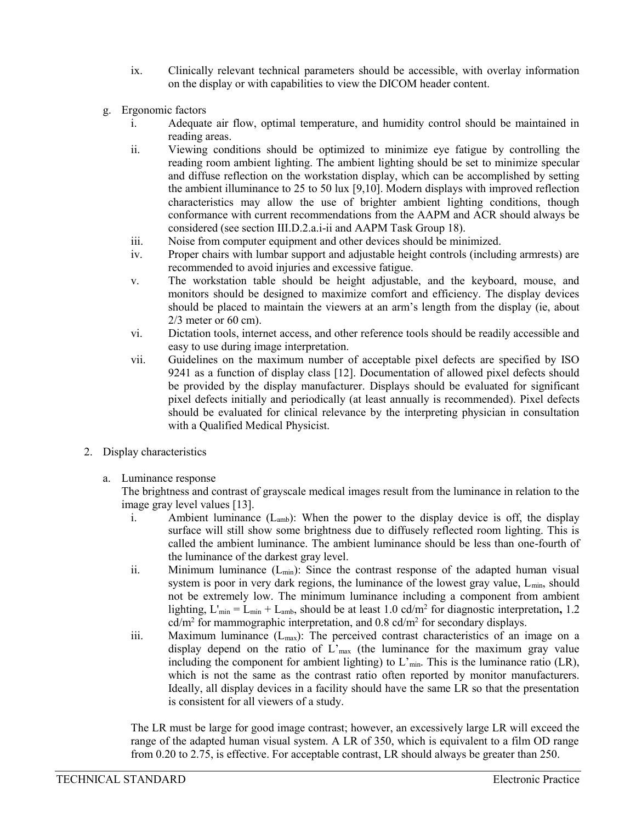- ix. Clinically relevant technical parameters should be accessible, with overlay information on the display or with capabilities to view the DICOM header content.
- g. Ergonomic factors
	- i. Adequate air flow, optimal temperature, and humidity control should be maintained in reading areas.
	- ii. Viewing conditions should be optimized to minimize eye fatigue by controlling the reading room ambient lighting. The ambient lighting should be set to minimize specular and diffuse reflection on the workstation display, which can be accomplished by setting the ambient illuminance to 25 to 50 lux [\[9](#page-17-0)[,10\]](#page-17-1). Modern displays with improved reflection characteristics may allow the use of brighter ambient lighting conditions, though conformance with current recommendations from the AAPM and ACR should always be considered (see section III.D.2.a.i-ii and AAPM Task Group 18).
	- iii. Noise from computer equipment and other devices should be minimized.
	- iv. Proper chairs with lumbar support and adjustable height controls (including armrests) are recommended to avoid injuries and excessive fatigue.
	- v. The workstation table should be height adjustable, and the keyboard, mouse, and monitors should be designed to maximize comfort and efficiency. The display devices should be placed to maintain the viewers at an arm's length from the display (ie, about  $2/3$  meter or 60 cm).
	- vi. Dictation tools, internet access, and other reference tools should be readily accessible and easy to use during image interpretation.
	- vii. Guidelines on the maximum number of acceptable pixel defects are specified by ISO 9241 as a function of display class [\[12\]](#page-17-2). Documentation of allowed pixel defects should be provided by the display manufacturer. Displays should be evaluated for significant pixel defects initially and periodically (at least annually is recommended). Pixel defects should be evaluated for clinical relevance by the interpreting physician in consultation with a Qualified Medical Physicist.
- 2. Display characteristics
	- a. Luminance response

The brightness and contrast of grayscale medical images result from the luminance in relation to the image gray level values [\[13\]](#page-17-3).

- i. Ambient luminance  $(L_{amb})$ : When the power to the display device is off, the display surface will still show some brightness due to diffusely reflected room lighting. This is called the ambient luminance. The ambient luminance should be less than one-fourth of the luminance of the darkest gray level.
- ii. Minimum luminance  $(L_{min})$ : Since the contrast response of the adapted human visual system is poor in very dark regions, the luminance of the lowest gray value,  $L_{min}$ , should not be extremely low. The minimum luminance including a component from ambient lighting,  $L'_{min} = L_{min} + L_{amb}$ , should be at least 1.0 cd/m<sup>2</sup> for diagnostic interpretation, 1.2 cd/m<sup>2</sup> for mammographic interpretation, and  $0.8$  cd/m<sup>2</sup> for secondary displays.
- iii. Maximum luminance  $(L_{max})$ : The perceived contrast characteristics of an image on a display depend on the ratio of  $L'_{\text{max}}$  (the luminance for the maximum gray value including the component for ambient lighting) to  $L^{\prime}$ <sub>min</sub>. This is the luminance ratio (LR), which is not the same as the contrast ratio often reported by monitor manufacturers. Ideally, all display devices in a facility should have the same LR so that the presentation is consistent for all viewers of a study.

The LR must be large for good image contrast; however, an excessively large LR will exceed the range of the adapted human visual system. A LR of 350, which is equivalent to a film OD range from 0.20 to 2.75, is effective. For acceptable contrast, LR should always be greater than 250.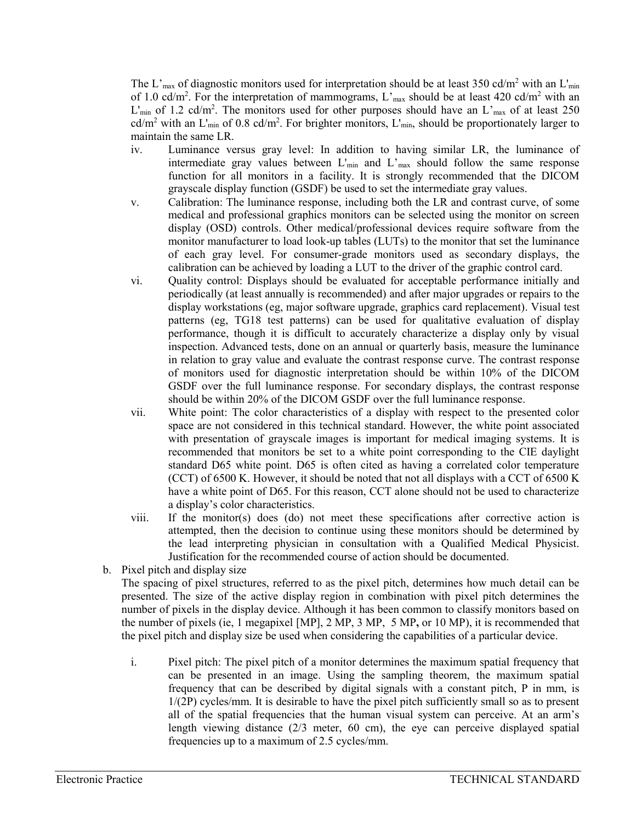The L'<sub>max</sub> of diagnostic monitors used for interpretation should be at least 350 cd/m<sup>2</sup> with an L'<sub>min</sub> of 1.0 cd/m<sup>2</sup>. For the interpretation of mammograms, L'<sub>max</sub> should be at least 420 cd/m<sup>2</sup> with an  $L'_{\text{min}}$  of 1.2 cd/m<sup>2</sup>. The monitors used for other purposes should have an  $L'_{\text{max}}$  of at least 250 cd/m<sup>2</sup> with an  $L'_{min}$  of 0.8 cd/m<sup>2</sup>. For brighter monitors,  $L'_{min}$ , should be proportionately larger to maintain the same LR.

- iv. Luminance versus gray level: In addition to having similar LR, the luminance of intermediate gray values between L'min and L'max should follow the same response function for all monitors in a facility. It is strongly recommended that the DICOM grayscale display function (GSDF) be used to set the intermediate gray values.
- v. Calibration: The luminance response, including both the LR and contrast curve, of some medical and professional graphics monitors can be selected using the monitor on screen display (OSD) controls. Other medical/professional devices require software from the monitor manufacturer to load look-up tables (LUTs) to the monitor that set the luminance of each gray level. For consumer-grade monitors used as secondary displays, the calibration can be achieved by loading a LUT to the driver of the graphic control card.
- vi. Quality control: Displays should be evaluated for acceptable performance initially and periodically (at least annually is recommended) and after major upgrades or repairs to the display workstations (eg, major software upgrade, graphics card replacement). Visual test patterns (eg, TG18 test patterns) can be used for qualitative evaluation of display performance, though it is difficult to accurately characterize a display only by visual inspection. Advanced tests, done on an annual or quarterly basis, measure the luminance in relation to gray value and evaluate the contrast response curve. The contrast response of monitors used for diagnostic interpretation should be within 10% of the DICOM GSDF over the full luminance response. For secondary displays, the contrast response should be within 20% of the DICOM GSDF over the full luminance response.
- vii. White point: The color characteristics of a display with respect to the presented color space are not considered in this technical standard. However, the white point associated with presentation of grayscale images is important for medical imaging systems. It is recommended that monitors be set to a white point corresponding to the CIE daylight standard D65 white point. D65 is often cited as having a correlated color temperature (CCT) of 6500 K. However, it should be noted that not all displays with a CCT of 6500 K have a white point of D65. For this reason, CCT alone should not be used to characterize a display's color characteristics.
- viii. If the monitor(s) does (do) not meet these specifications after corrective action is attempted, then the decision to continue using these monitors should be determined by the lead interpreting physician in consultation with a Qualified Medical Physicist. Justification for the recommended course of action should be documented.
- b. Pixel pitch and display size

The spacing of pixel structures, referred to as the pixel pitch, determines how much detail can be presented. The size of the active display region in combination with pixel pitch determines the number of pixels in the display device. Although it has been common to classify monitors based on the number of pixels (ie, 1 megapixel [MP], 2 MP, 3 MP, 5 MP**,** or 10 MP), it is recommended that the pixel pitch and display size be used when considering the capabilities of a particular device.

i. Pixel pitch: The pixel pitch of a monitor determines the maximum spatial frequency that can be presented in an image. Using the sampling theorem, the maximum spatial frequency that can be described by digital signals with a constant pitch, P in mm, is 1/(2P) cycles/mm. It is desirable to have the pixel pitch sufficiently small so as to present all of the spatial frequencies that the human visual system can perceive. At an arm's length viewing distance (2/3 meter, 60 cm), the eye can perceive displayed spatial frequencies up to a maximum of 2.5 cycles/mm.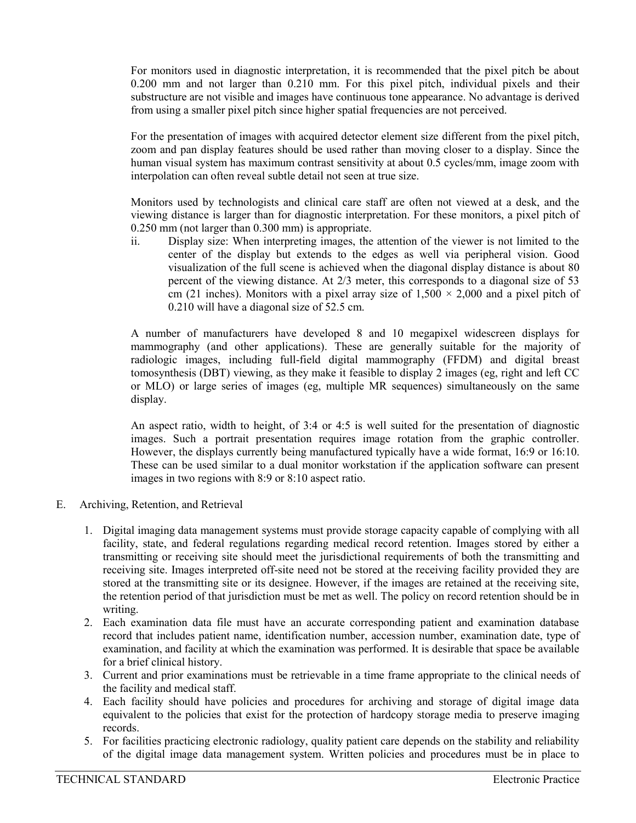For monitors used in diagnostic interpretation, it is recommended that the pixel pitch be about 0.200 mm and not larger than 0.210 mm. For this pixel pitch, individual pixels and their substructure are not visible and images have continuous tone appearance. No advantage is derived from using a smaller pixel pitch since higher spatial frequencies are not perceived.

For the presentation of images with acquired detector element size different from the pixel pitch, zoom and pan display features should be used rather than moving closer to a display. Since the human visual system has maximum contrast sensitivity at about 0.5 cycles/mm, image zoom with interpolation can often reveal subtle detail not seen at true size.

Monitors used by technologists and clinical care staff are often not viewed at a desk, and the viewing distance is larger than for diagnostic interpretation. For these monitors, a pixel pitch of 0.250 mm (not larger than 0.300 mm) is appropriate.

ii. Display size: When interpreting images, the attention of the viewer is not limited to the center of the display but extends to the edges as well via peripheral vision. Good visualization of the full scene is achieved when the diagonal display distance is about 80 percent of the viewing distance. At 2/3 meter, this corresponds to a diagonal size of 53 cm (21 inches). Monitors with a pixel array size of  $1,500 \times 2,000$  and a pixel pitch of 0.210 will have a diagonal size of 52.5 cm.

A number of manufacturers have developed 8 and 10 megapixel widescreen displays for mammography (and other applications). These are generally suitable for the majority of radiologic images, including full-field digital mammography (FFDM) and digital breast tomosynthesis (DBT) viewing, as they make it feasible to display 2 images (eg, right and left CC or MLO) or large series of images (eg, multiple MR sequences) simultaneously on the same display.

An aspect ratio, width to height, of 3:4 or 4:5 is well suited for the presentation of diagnostic images. Such a portrait presentation requires image rotation from the graphic controller. However, the displays currently being manufactured typically have a wide format, 16:9 or 16:10. These can be used similar to a dual monitor workstation if the application software can present images in two regions with 8:9 or 8:10 aspect ratio.

- E. Archiving, Retention, and Retrieval
	- 1. Digital imaging data management systems must provide storage capacity capable of complying with all facility, state, and federal regulations regarding medical record retention. Images stored by either a transmitting or receiving site should meet the jurisdictional requirements of both the transmitting and receiving site. Images interpreted off-site need not be stored at the receiving facility provided they are stored at the transmitting site or its designee. However, if the images are retained at the receiving site, the retention period of that jurisdiction must be met as well. The policy on record retention should be in writing.
	- 2. Each examination data file must have an accurate corresponding patient and examination database record that includes patient name, identification number, accession number, examination date, type of examination, and facility at which the examination was performed. It is desirable that space be available for a brief clinical history.
	- 3. Current and prior examinations must be retrievable in a time frame appropriate to the clinical needs of the facility and medical staff.
	- 4. Each facility should have policies and procedures for archiving and storage of digital image data equivalent to the policies that exist for the protection of hardcopy storage media to preserve imaging records.
	- 5. For facilities practicing electronic radiology, quality patient care depends on the stability and reliability of the digital image data management system. Written policies and procedures must be in place to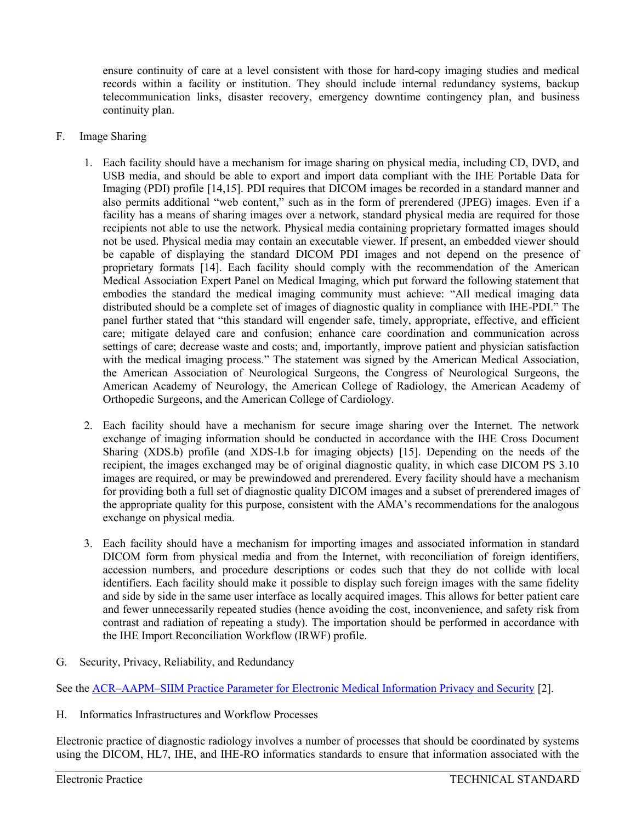ensure continuity of care at a level consistent with those for hard-copy imaging studies and medical records within a facility or institution. They should include internal redundancy systems, backup telecommunication links, disaster recovery, emergency downtime contingency plan, and business continuity plan.

- F. Image Sharing
	- 1. Each facility should have a mechanism for image sharing on physical media, including CD, DVD, and USB media, and should be able to export and import data compliant with the IHE Portable Data for Imaging (PDI) profile [\[14](#page-17-4)[,15\]](#page-17-5). PDI requires that DICOM images be recorded in a standard manner and also permits additional "web content," such as in the form of prerendered (JPEG) images. Even if a facility has a means of sharing images over a network, standard physical media are required for those recipients not able to use the network. Physical media containing proprietary formatted images should not be used. Physical media may contain an executable viewer. If present, an embedded viewer should be capable of displaying the standard DICOM PDI images and not depend on the presence of proprietary formats [\[14\]](#page-17-4). Each facility should comply with the recommendation of the American Medical Association Expert Panel on Medical Imaging, which put forward the following statement that embodies the standard the medical imaging community must achieve: "All medical imaging data distributed should be a complete set of images of diagnostic quality in compliance with IHE-PDI." The panel further stated that "this standard will engender safe, timely, appropriate, effective, and efficient care; mitigate delayed care and confusion; enhance care coordination and communication across settings of care; decrease waste and costs; and, importantly, improve patient and physician satisfaction with the medical imaging process." The statement was signed by the American Medical Association, the American Association of Neurological Surgeons, the Congress of Neurological Surgeons, the American Academy of Neurology, the American College of Radiology, the American Academy of Orthopedic Surgeons, and the American College of Cardiology.
	- 2. Each facility should have a mechanism for secure image sharing over the Internet. The network exchange of imaging information should be conducted in accordance with the IHE Cross Document Sharing (XDS.b) profile (and XDS-I.b for imaging objects) [\[15\]](#page-17-5). Depending on the needs of the recipient, the images exchanged may be of original diagnostic quality, in which case DICOM PS 3.10 images are required, or may be prewindowed and prerendered. Every facility should have a mechanism for providing both a full set of diagnostic quality DICOM images and a subset of prerendered images of the appropriate quality for this purpose, consistent with the AMA's recommendations for the analogous exchange on physical media.
	- 3. Each facility should have a mechanism for importing images and associated information in standard DICOM form from physical media and from the Internet, with reconciliation of foreign identifiers, accession numbers, and procedure descriptions or codes such that they do not collide with local identifiers. Each facility should make it possible to display such foreign images with the same fidelity and side by side in the same user interface as locally acquired images. This allows for better patient care and fewer unnecessarily repeated studies (hence avoiding the cost, inconvenience, and safety risk from contrast and radiation of repeating a study). The importation should be performed in accordance with the IHE Import Reconciliation Workflow (IRWF) profile.
- G. Security, Privacy, Reliability, and Redundancy

See the [ACR–AAPM–SIIM Practice Parameter for Electronic Medical Information Privacy and Security](https://www.acr.org/-/media/ACR/Files/Practice-Parameters/Elec-Info-Privacy.pdf) [\[2\]](#page-16-1).

H. Informatics Infrastructures and Workflow Processes

Electronic practice of diagnostic radiology involves a number of processes that should be coordinated by systems using the DICOM, HL7, IHE, and IHE-RO informatics standards to ensure that information associated with the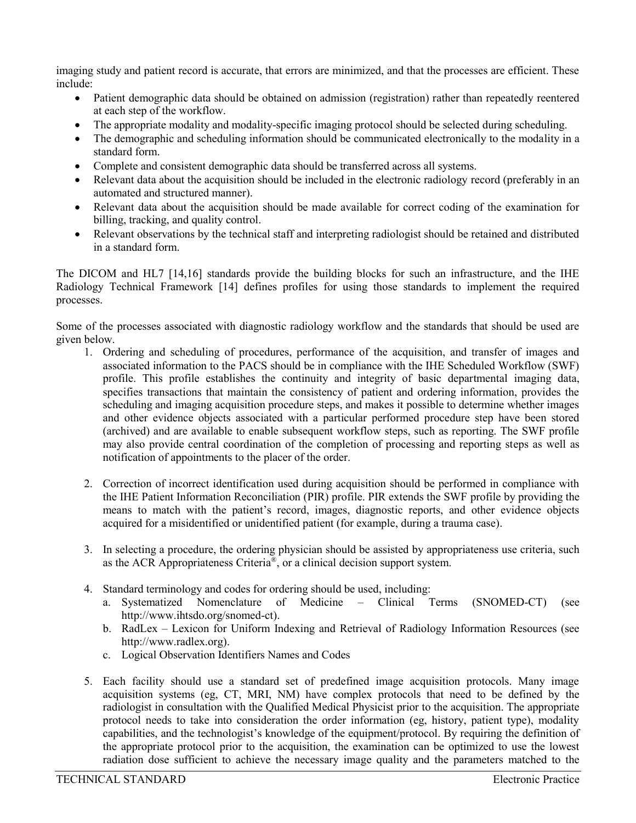imaging study and patient record is accurate, that errors are minimized, and that the processes are efficient. These include:

- Patient demographic data should be obtained on admission (registration) rather than repeatedly reentered at each step of the workflow.
- The appropriate modality and modality-specific imaging protocol should be selected during scheduling.
- The demographic and scheduling information should be communicated electronically to the modality in a standard form.
- Complete and consistent demographic data should be transferred across all systems.
- Relevant data about the acquisition should be included in the electronic radiology record (preferably in an automated and structured manner).
- Relevant data about the acquisition should be made available for correct coding of the examination for billing, tracking, and quality control.
- Relevant observations by the technical staff and interpreting radiologist should be retained and distributed in a standard form.

The DICOM and HL7 [\[14,](#page-17-4)[16\]](#page-17-6) standards provide the building blocks for such an infrastructure, and the IHE Radiology Technical Framework [\[14\]](#page-17-4) defines profiles for using those standards to implement the required processes.

Some of the processes associated with diagnostic radiology workflow and the standards that should be used are given below.

- 1. Ordering and scheduling of procedures, performance of the acquisition, and transfer of images and associated information to the PACS should be in compliance with the IHE Scheduled Workflow (SWF) profile. This profile establishes the continuity and integrity of basic departmental imaging data, specifies transactions that maintain the consistency of patient and ordering information, provides the scheduling and imaging acquisition procedure steps, and makes it possible to determine whether images and other evidence objects associated with a particular performed procedure step have been stored (archived) and are available to enable subsequent workflow steps, such as reporting. The SWF profile may also provide central coordination of the completion of processing and reporting steps as well as notification of appointments to the placer of the order.
- 2. Correction of incorrect identification used during acquisition should be performed in compliance with the IHE Patient Information Reconciliation (PIR) profile. PIR extends the SWF profile by providing the means to match with the patient's record, images, diagnostic reports, and other evidence objects acquired for a misidentified or unidentified patient (for example, during a trauma case).
- 3. In selecting a procedure, the ordering physician should be assisted by appropriateness use criteria, such as the ACR Appropriateness Criteria®, or a clinical decision support system.
- 4. Standard terminology and codes for ordering should be used, including:
	- a. Systematized Nomenclature of Medicine Clinical Terms (SNOMED-CT) (see [http://www.ihtsdo.org/snomed-ct\)](http://www.ihtsdo.org/snomed-ct).
	- b. RadLex Lexicon for Uniform Indexing and Retrieval of Radiology Information Resources (see [http://www.radlex.org\)](http://www.radlex.org/).
	- c. Logical Observation Identifiers Names and Codes
- 5. Each facility should use a standard set of predefined image acquisition protocols. Many image acquisition systems (eg, CT, MRI, NM) have complex protocols that need to be defined by the radiologist in consultation with the Qualified Medical Physicist prior to the acquisition. The appropriate protocol needs to take into consideration the order information (eg, history, patient type), modality capabilities, and the technologist's knowledge of the equipment/protocol. By requiring the definition of the appropriate protocol prior to the acquisition, the examination can be optimized to use the lowest radiation dose sufficient to achieve the necessary image quality and the parameters matched to the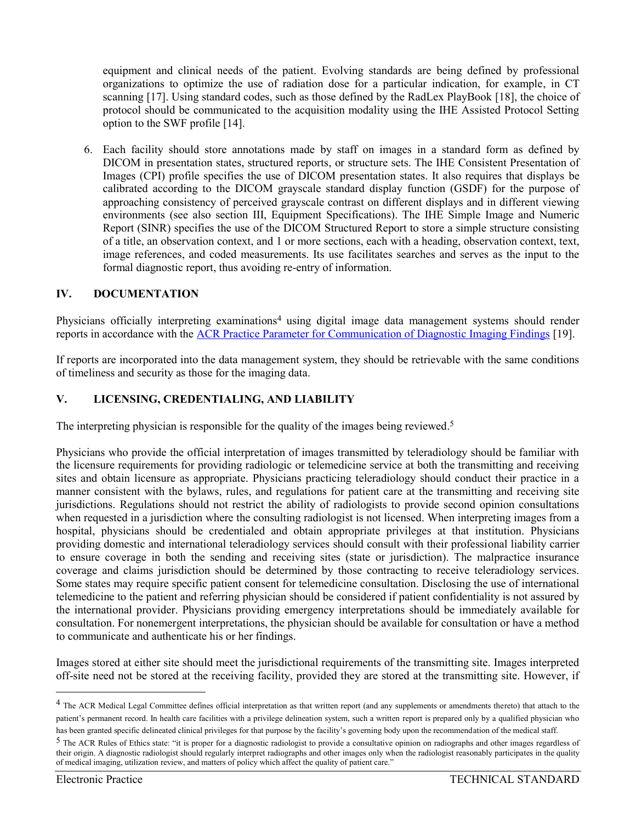equipment and clinical needs of the patient. Evolving standards are being defined by professional organizations to optimize the use of radiation dose for a particular indication, for example, in CT scanning [\[17\]](#page-17-7). Using standard codes, such as those defined by the RadLex PlayBook [\[18\]](#page-17-8), the choice of protocol should be communicated to the acquisition modality using the IHE Assisted Protocol Setting option to the SWF profile [\[14\]](#page-17-4).

6. Each facility should store annotations made by staff on images in a standard form as defined by DICOM in presentation states, structured reports, or structure sets. The IHE Consistent Presentation of Images (CPI) profile specifies the use of DICOM presentation states. It also requires that displays be calibrated according to the DICOM grayscale standard display function (GSDF) for the purpose of approaching consistency of perceived grayscale contrast on different displays and in different viewing environments (see also section III, Equipment Specifications). The IHE Simple Image and Numeric Report (SINR) specifies the use of the DICOM Structured Report to store a simple structure consisting of a title, an observation context, and 1 or more sections, each with a heading, observation context, text, image references, and coded measurements. Its use facilitates searches and serves as the input to the formal diagnostic report, thus avoiding re-entry of information.

#### **IV. DOCUMENTATION**

Physicians officially interpreting examinations<sup>4</sup> using digital image data management systems should render reports in accordance with the ACR Practice Parameter [for Communication of Diagnostic Imaging Findings](https://www.acr.org/-/media/ACR/Files/Practice-Parameters/CommunicationDiag.pdf) [\[19\]](#page-17-9).

If reports are incorporated into the data management system, they should be retrievable with the same conditions of timeliness and security as those for the imaging data.

#### **V. LICENSING, CREDENTIALING, AND LIABILITY**

The interpreting physician is responsible for the quality of the images being reviewed.<sup>5</sup>

Physicians who provide the official interpretation of images transmitted by teleradiology should be familiar with the licensure requirements for providing radiologic or telemedicine service at both the transmitting and receiving sites and obtain licensure as appropriate. Physicians practicing teleradiology should conduct their practice in a manner consistent with the bylaws, rules, and regulations for patient care at the transmitting and receiving site jurisdictions. Regulations should not restrict the ability of radiologists to provide second opinion consultations when requested in a jurisdiction where the consulting radiologist is not licensed. When interpreting images from a hospital, physicians should be credentialed and obtain appropriate privileges at that institution. Physicians providing domestic and international teleradiology services should consult with their professional liability carrier to ensure coverage in both the sending and receiving sites (state or jurisdiction). The malpractice insurance coverage and claims jurisdiction should be determined by those contracting to receive teleradiology services. Some states may require specific patient consent for telemedicine consultation. Disclosing the use of international telemedicine to the patient and referring physician should be considered if patient confidentiality is not assured by the international provider. Physicians providing emergency interpretations should be immediately available for consultation. For nonemergent interpretations, the physician should be available for consultation or have a method to communicate and authenticate his or her findings.

Images stored at either site should meet the jurisdictional requirements of the transmitting site. Images interpreted off-site need not be stored at the receiving facility, provided they are stored at the transmitting site. However, if

 $\overline{a}$ 

<sup>&</sup>lt;sup>4</sup> The ACR Medical Legal Committee defines official interpretation as that written report (and any supplements or amendments thereto) that attach to the patient's permanent record. In health care facilities with a privilege delineation system, such a written report is prepared only by a qualified physician who has been granted specific delineated clinical privileges for that purpose by the facility's governing body upon the recommendation of the medical staff.

<sup>&</sup>lt;sup>5</sup> The ACR Rules of Ethics state: "it is proper for a diagnostic radiologist to provide a consultative opinion on radiographs and other images regardless of their origin. A diagnostic radiologist should regularly interpret radiographs and other images only when the radiologist reasonably participates in the quality of medical imaging, utilization review, and matters of policy which affect the quality of patient care."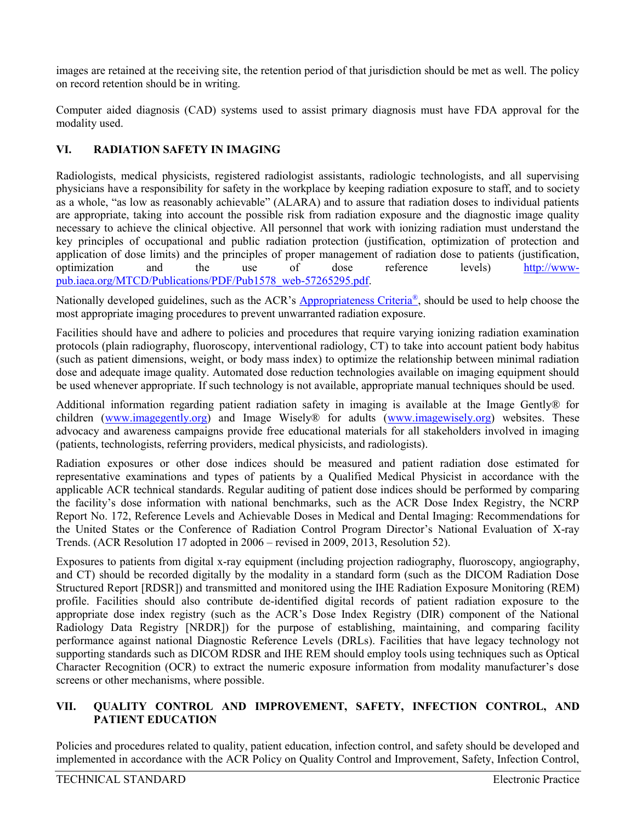images are retained at the receiving site, the retention period of that jurisdiction should be met as well. The policy on record retention should be in writing.

Computer aided diagnosis (CAD) systems used to assist primary diagnosis must have FDA approval for the modality used.

# **VI. RADIATION SAFETY IN IMAGING**

Radiologists, medical physicists, registered radiologist assistants, radiologic technologists, and all supervising physicians have a responsibility for safety in the workplace by keeping radiation exposure to staff, and to society as a whole, "as low as reasonably achievable" (ALARA) and to assure that radiation doses to individual patients are appropriate, taking into account the possible risk from radiation exposure and the diagnostic image quality necessary to achieve the clinical objective. All personnel that work with ionizing radiation must understand the key principles of occupational and public radiation protection (justification, optimization of protection and application of dose limits) and the principles of proper management of radiation dose to patients (justification, optimization and the use of dose reference levels) [http://www](http://www-pub.iaea.org/MTCD/Publications/PDF/Pub1578_web-57265295.pdf)[pub.iaea.org/MTCD/Publications/PDF/Pub1578\\_web-57265295.pdf.](http://www-pub.iaea.org/MTCD/Publications/PDF/Pub1578_web-57265295.pdf)

Nationally developed guidelines, such as the ACR's **Appropriateness Criteria®**, should be used to help choose the most appropriate imaging procedures to prevent unwarranted radiation exposure.

Facilities should have and adhere to policies and procedures that require varying ionizing radiation examination protocols (plain radiography, fluoroscopy, interventional radiology, CT) to take into account patient body habitus (such as patient dimensions, weight, or body mass index) to optimize the relationship between minimal radiation dose and adequate image quality. Automated dose reduction technologies available on imaging equipment should be used whenever appropriate. If such technology is not available, appropriate manual techniques should be used.

Additional information regarding patient radiation safety in imaging is available at the Image Gently® for children [\(www.imagegently.org\)](http://www.imagegently.org/) and Image Wisely® for adults [\(www.imagewisely.org\)](http://www.imagewisely.org/) websites. These advocacy and awareness campaigns provide free educational materials for all stakeholders involved in imaging (patients, technologists, referring providers, medical physicists, and radiologists).

Radiation exposures or other dose indices should be measured and patient radiation dose estimated for representative examinations and types of patients by a Qualified Medical Physicist in accordance with the applicable ACR technical standards. Regular auditing of patient dose indices should be performed by comparing the facility's dose information with national benchmarks, such as the ACR Dose Index Registry, the NCRP Report No. 172, Reference Levels and Achievable Doses in Medical and Dental Imaging: Recommendations for the United States or the Conference of Radiation Control Program Director's National Evaluation of X-ray Trends. (ACR Resolution 17 adopted in 2006 – revised in 2009, 2013, Resolution 52).

Exposures to patients from digital x-ray equipment (including projection radiography, fluoroscopy, angiography, and CT) should be recorded digitally by the modality in a standard form (such as the DICOM Radiation Dose Structured Report [RDSR]) and transmitted and monitored using the IHE Radiation Exposure Monitoring (REM) profile. Facilities should also contribute de-identified digital records of patient radiation exposure to the appropriate dose index registry (such as the ACR's Dose Index Registry (DIR) component of the National Radiology Data Registry [NRDR]) for the purpose of establishing, maintaining, and comparing facility performance against national Diagnostic Reference Levels (DRLs). Facilities that have legacy technology not supporting standards such as DICOM RDSR and IHE REM should employ tools using techniques such as Optical Character Recognition (OCR) to extract the numeric exposure information from modality manufacturer's dose screens or other mechanisms, where possible.

## **VII. QUALITY CONTROL AND IMPROVEMENT, SAFETY, INFECTION CONTROL, AND PATIENT EDUCATION**

Policies and procedures related to quality, patient education, infection control, and safety should be developed and implemented in accordance with the ACR Policy on Quality Control and Improvement, Safety, Infection Control,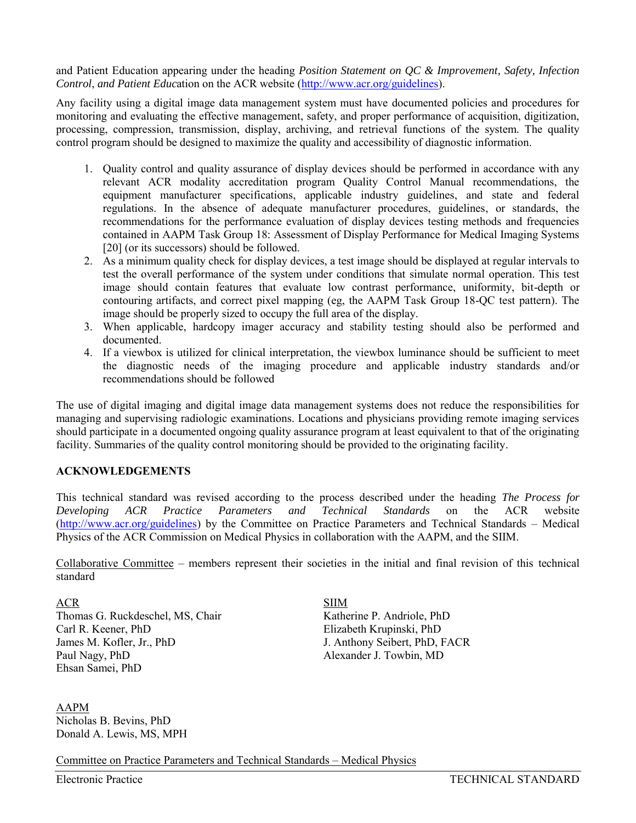and Patient Education appearing under the heading *Position Statement on QC & Improvement, Safety, Infection Control*, *and Patient Educ*ation on the ACR website [\(http://www.acr.org/guidelines\)](http://www.acr.org/guidelines).

Any facility using a digital image data management system must have documented policies and procedures for monitoring and evaluating the effective management, safety, and proper performance of acquisition, digitization, processing, compression, transmission, display, archiving, and retrieval functions of the system. The quality control program should be designed to maximize the quality and accessibility of diagnostic information.

- 1. Quality control and quality assurance of display devices should be performed in accordance with any relevant ACR modality accreditation program Quality Control Manual recommendations, the equipment manufacturer specifications, applicable industry guidelines, and state and federal regulations. In the absence of adequate manufacturer procedures, guidelines, or standards, the recommendations for the performance evaluation of display devices testing methods and frequencies contained in AAPM Task Group 18: Assessment of Display Performance for Medical Imaging Systems [\[20\]](#page-17-10) (or its successors) should be followed.
- 2. As a minimum quality check for display devices, a test image should be displayed at regular intervals to test the overall performance of the system under conditions that simulate normal operation. This test image should contain features that evaluate low contrast performance, uniformity, bit-depth or contouring artifacts, and correct pixel mapping (eg, the AAPM Task Group 18-QC test pattern). The image should be properly sized to occupy the full area of the display.
- 3. When applicable, hardcopy imager accuracy and stability testing should also be performed and documented.
- 4. If a viewbox is utilized for clinical interpretation, the viewbox luminance should be sufficient to meet the diagnostic needs of the imaging procedure and applicable industry standards and/or recommendations should be followed

The use of digital imaging and digital image data management systems does not reduce the responsibilities for managing and supervising radiologic examinations. Locations and physicians providing remote imaging services should participate in a documented ongoing quality assurance program at least equivalent to that of the originating facility. Summaries of the quality control monitoring should be provided to the originating facility.

## **ACKNOWLEDGEMENTS**

This technical standard was revised according to the process described under the heading *The Process for Developing ACR Practice Parameters and Technical Standards* on the ACR website [\(http://www.acr.org/guidelines\)](http://www.acr.org/guidelines) by the Committee on Practice Parameters and Technical Standards – Medical Physics of the ACR Commission on Medical Physics in collaboration with the AAPM, and the SIIM.

Collaborative Committee – members represent their societies in the initial and final revision of this technical standard

ACR SIIM Thomas G. Ruckdeschel, MS, Chair Katherine P. Andriole, PhD Carl R. Keener, PhD Elizabeth Krupinski, PhD James M. Kofler, Jr., PhD J. Anthony Seibert, PhD, FACR Paul Nagy, PhD Alexander J. Towbin, MD Ehsan Samei, PhD

AAPM Nicholas B. Bevins, PhD Donald A. Lewis, MS, MPH

Committee on Practice Parameters and Technical Standards – Medical Physics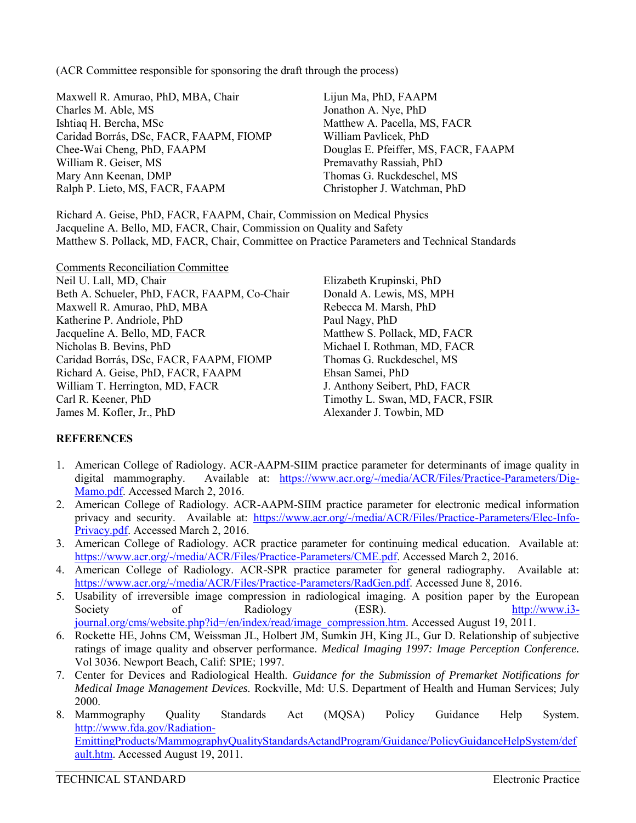(ACR Committee responsible for sponsoring the draft through the process)

Maxwell R. Amurao, PhD, MBA, Chair Lijun Ma, PhD, FAAPM Charles M. Able, MS Jonathon A. Nye, PhD Ishtiaq H. Bercha, MSc Matthew A. Pacella, MS, FACR Caridad Borrás, DSc, FACR, FAAPM, FIOMP William Pavlicek, PhD Chee-Wai Cheng, PhD, FAAPM Douglas E. Pfeiffer, MS, FACR, FAAPM William R. Geiser, MS **Premavathy Rassiah, PhD** Mary Ann Keenan, DMP Thomas G. Ruckdeschel, MS Ralph P. Lieto, MS, FACR, FAAPM Christopher J. Watchman, PhD

Richard A. Geise, PhD, FACR, FAAPM, Chair, Commission on Medical Physics Jacqueline A. Bello, MD, FACR, Chair, Commission on Quality and Safety Matthew S. Pollack, MD, FACR, Chair, Committee on Practice Parameters and Technical Standards

Comments Reconciliation Committee Neil U. Lall, MD, Chair Elizabeth Krupinski, PhD Beth A. Schueler, PhD, FACR, FAAPM, Co-Chair Donald A. Lewis, MS, MPH Maxwell R. Amurao, PhD, MBA Rebecca M. Marsh, PhD Katherine P. Andriole, PhD Paul Nagy, PhD Jacqueline A. Bello, MD, FACR Matthew S. Pollack, MD, FACR Nicholas B. Bevins, PhD Michael I. Rothman, MD, FACR Caridad Borrás, DSc, FACR, FAAPM, FIOMP Thomas G. Ruckdeschel, MS Richard A. Geise, PhD, FACR, FAAPM Ehsan Samei, PhD William T. Herrington, MD, FACR J. Anthony Seibert, PhD, FACR Carl R. Keener, PhD Timothy L. Swan, MD, FACR, FSIR James M. Kofler, Jr., PhD Alexander J. Towbin, MD

## **REFERENCES**

- <span id="page-16-0"></span>1. American College of Radiology. ACR-AAPM-SIIM practice parameter for determinants of image quality in digital mammography. Available at: [https://www.acr.org/-/media/ACR/Files/Practice-Parameters/Dig-](https://www.acr.org/-/media/ACR/Files/Practice-Parameters/Dig-Mamo.pdf)[Mamo.pdf.](https://www.acr.org/-/media/ACR/Files/Practice-Parameters/Dig-Mamo.pdf) Accessed March 2, 2016.
- <span id="page-16-1"></span>2. American College of Radiology. ACR-AAPM-SIIM practice parameter for electronic medical information privacy and security. Available at: [https://www.acr.org/-/media/ACR/Files/Practice-Parameters/Elec-Info-](https://www.acr.org/-/media/ACR/Files/Practice-Parameters/Elec-Info-Privacy.pdf)[Privacy.pdf.](https://www.acr.org/-/media/ACR/Files/Practice-Parameters/Elec-Info-Privacy.pdf) Accessed March 2, 2016.
- <span id="page-16-2"></span>3. American College of Radiology. ACR practice parameter for continuing medical education. Available at: [https://www.acr.org/-/media/ACR/Files/Practice-Parameters/CME.pdf.](https://www.acr.org/-/media/ACR/Files/Practice-Parameters/CME.pdf) Accessed March 2, 2016.
- <span id="page-16-3"></span>4. American College of Radiology. ACR-SPR practice parameter for general radiography. Available at: [https://www.acr.org/-/media/ACR/Files/Practice-Parameters/RadGen.pdf.](https://www.acr.org/-/media/ACR/Files/Practice-Parameters/RadGen.pdf) Accessed June 8, 2016.
- <span id="page-16-4"></span>5. Usability of irreversible image compression in radiological imaging. A position paper by the European Society of Radiology (ESR). [http://www.i3](http://www.i3-journal.org/cms/website.php?id=/en/index/read/image_compression.htm) [journal.org/cms/website.php?id=/en/index/read/image\\_compression.htm.](http://www.i3-journal.org/cms/website.php?id=/en/index/read/image_compression.htm) Accessed August 19, 2011.
- <span id="page-16-5"></span>6. Rockette HE, Johns CM, Weissman JL, Holbert JM, Sumkin JH, King JL, Gur D. Relationship of subjective ratings of image quality and observer performance. *Medical Imaging 1997: Image Perception Conference.* Vol 3036. Newport Beach, Calif: SPIE; 1997.
- <span id="page-16-6"></span>7. Center for Devices and Radiological Health. *Guidance for the Submission of Premarket Notifications for Medical Image Management Devices.* Rockville, Md: U.S. Department of Health and Human Services; July 2000.
- <span id="page-16-7"></span>8. Mammography Quality Standards Act (MQSA) Policy Guidance Help System. [http://www.fda.gov/Radiation-](http://www.fda.gov/Radiation-EmittingProducts/MammographyQualityStandardsActandProgram/Guidance/PolicyGuidanceHelpSystem/default.htm)[EmittingProducts/MammographyQualityStandardsActandProgram/Guidance/PolicyGuidanceHelpSystem/def](http://www.fda.gov/Radiation-EmittingProducts/MammographyQualityStandardsActandProgram/Guidance/PolicyGuidanceHelpSystem/default.htm) [ault.htm.](http://www.fda.gov/Radiation-EmittingProducts/MammographyQualityStandardsActandProgram/Guidance/PolicyGuidanceHelpSystem/default.htm) Accessed August 19, 2011.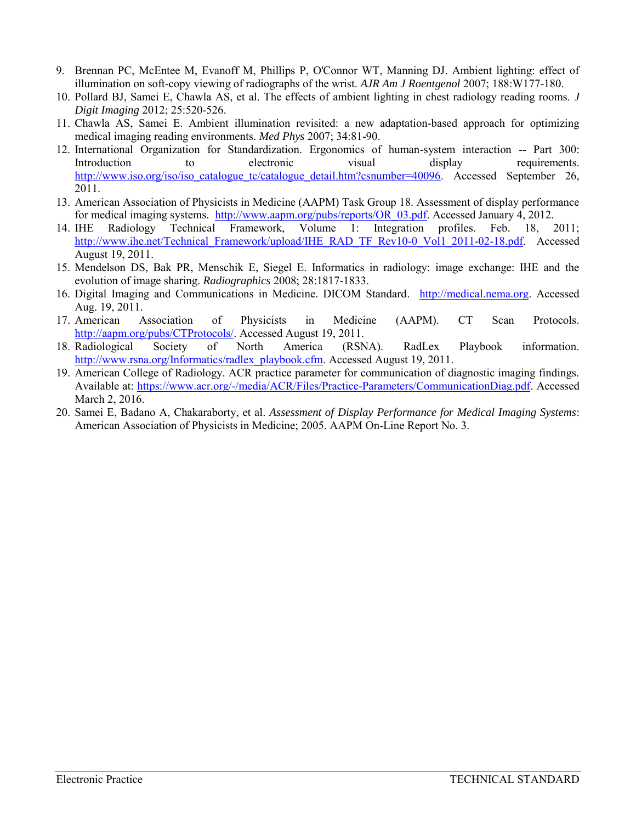- <span id="page-17-0"></span>9. Brennan PC, McEntee M, Evanoff M, Phillips P, O'Connor WT, Manning DJ. Ambient lighting: effect of illumination on soft-copy viewing of radiographs of the wrist. *AJR Am J Roentgenol* 2007; 188:W177-180.
- <span id="page-17-1"></span>10. Pollard BJ, Samei E, Chawla AS, et al. The effects of ambient lighting in chest radiology reading rooms. *J Digit Imaging* 2012; 25:520-526.
- 11. Chawla AS, Samei E. Ambient illumination revisited: a new adaptation-based approach for optimizing medical imaging reading environments. *Med Phys* 2007; 34:81-90.
- <span id="page-17-2"></span>12. International Organization for Standardization. Ergonomics of human-system interaction -- Part 300: Introduction to electronic visual display requirements. [http://www.iso.org/iso/iso\\_catalogue\\_tc/catalogue\\_detail.htm?csnumber=40096.](http://www.iso.org/iso/iso_catalogue_tc/catalogue_detail.htm?csnumber=40096) Accessed September 26, 2011.
- <span id="page-17-3"></span>13. American Association of Physicists in Medicine (AAPM) Task Group 18. Assessment of display performance for medical imaging systems. [http://www.aapm.org/pubs/reports/OR\\_03.pdf.](http://www.aapm.org/pubs/reports/OR_03.pdf) Accessed January 4, 2012.
- <span id="page-17-4"></span>14. IHE Radiology Technical Framework, Volume 1: Integration profiles. Feb. 18, 2011; [http://www.ihe.net/Technical\\_Framework/upload/IHE\\_RAD\\_TF\\_Rev10-0\\_Vol1\\_2011-02-18.pdf.](http://www.ihe.net/Technical_Framework/upload/IHE_RAD_TF_Rev10-0_Vol1_2011-02-18.pdf) Accessed August 19, 2011.
- <span id="page-17-5"></span>15. Mendelson DS, Bak PR, Menschik E, Siegel E. Informatics in radiology: image exchange: IHE and the evolution of image sharing. *Radiographics* 2008; 28:1817-1833.
- <span id="page-17-6"></span>16. Digital Imaging and Communications in Medicine. DICOM Standard. [http://medical.nema.org.](http://medical.nema.org/) Accessed Aug. 19, 2011.
- <span id="page-17-7"></span>17. American Association of Physicists in Medicine (AAPM). CT Scan Protocols. [http://aapm.org/pubs/CTProtocols/.](http://aapm.org/pubs/CTProtocols/) Accessed August 19, 2011.<br>Radiological Society of North America (RSN
- <span id="page-17-8"></span>18. Radiological Society of North America (RSNA). RadLex Playbook information. [http://www.rsna.org/Informatics/radlex\\_playbook.cfm.](http://www.rsna.org/Informatics/radlex_playbook.cfm) Accessed August 19, 2011.
- <span id="page-17-9"></span>19. American College of Radiology. ACR practice parameter for communication of diagnostic imaging findings. Available at: [https://www.acr.org/-/media/ACR/Files/Practice-Parameters/CommunicationDiag.pdf.](https://www.acr.org/-/media/ACR/Files/Practice-Parameters/CommunicationDiag.pdf) Accessed March 2, 2016.
- <span id="page-17-10"></span>20. Samei E, Badano A, Chakaraborty, et al. *Assessment of Display Performance for Medical Imaging Systems*: American Association of Physicists in Medicine; 2005. AAPM On-Line Report No. 3.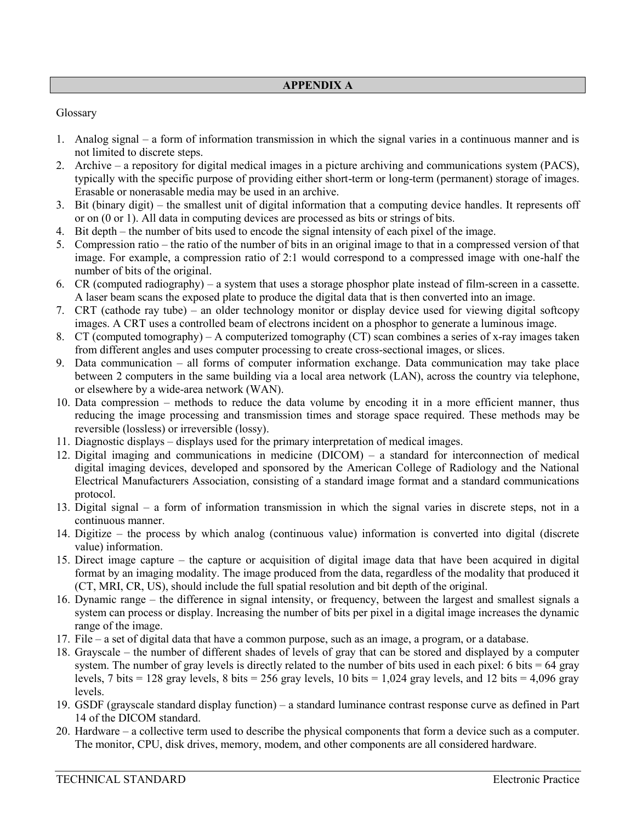#### Glossary

- 1. Analog signal a form of information transmission in which the signal varies in a continuous manner and is not limited to discrete steps.
- 2. Archive a repository for digital medical images in a picture archiving and communications system (PACS), typically with the specific purpose of providing either short-term or long-term (permanent) storage of images. Erasable or nonerasable media may be used in an archive.
- 3. Bit (binary digit) the smallest unit of digital information that a computing device handles. It represents off or on (0 or 1). All data in computing devices are processed as bits or strings of bits.
- 4. Bit depth the number of bits used to encode the signal intensity of each pixel of the image.
- 5. Compression ratio the ratio of the number of bits in an original image to that in a compressed version of that image. For example, a compression ratio of 2:1 would correspond to a compressed image with one-half the number of bits of the original.
- 6. CR (computed radiography) a system that uses a storage phosphor plate instead of film-screen in a cassette. A laser beam scans the exposed plate to produce the digital data that is then converted into an image.
- 7. CRT (cathode ray tube) an older technology monitor or display device used for viewing digital softcopy images. A CRT uses a controlled beam of electrons incident on a phosphor to generate a luminous image.
- 8. CT (computed tomography) A computerized tomography (CT) scan combines a series of x-ray images taken from different angles and uses computer processing to create cross-sectional images, or slices.
- 9. Data communication all forms of computer information exchange. Data communication may take place between 2 computers in the same building via a local area network (LAN), across the country via telephone, or elsewhere by a wide-area network (WAN).
- 10. Data compression methods to reduce the data volume by encoding it in a more efficient manner, thus reducing the image processing and transmission times and storage space required. These methods may be reversible (lossless) or irreversible (lossy).
- 11. Diagnostic displays displays used for the primary interpretation of medical images.
- 12. Digital imaging and communications in medicine (DICOM) a standard for interconnection of medical digital imaging devices, developed and sponsored by the American College of Radiology and the National Electrical Manufacturers Association, consisting of a standard image format and a standard communications protocol.
- 13. Digital signal a form of information transmission in which the signal varies in discrete steps, not in a continuous manner.
- 14. Digitize the process by which analog (continuous value) information is converted into digital (discrete value) information.
- 15. Direct image capture the capture or acquisition of digital image data that have been acquired in digital format by an imaging modality. The image produced from the data, regardless of the modality that produced it (CT, MRI, CR, US), should include the full spatial resolution and bit depth of the original.
- 16. Dynamic range the difference in signal intensity, or frequency, between the largest and smallest signals a system can process or display. Increasing the number of bits per pixel in a digital image increases the dynamic range of the image.
- 17. File a set of digital data that have a common purpose, such as an image, a program, or a database.
- 18. Grayscale the number of different shades of levels of gray that can be stored and displayed by a computer system. The number of gray levels is directly related to the number of bits used in each pixel: 6 bits  $= 64$  gray levels, 7 bits = 128 gray levels, 8 bits = 256 gray levels, 10 bits = 1,024 gray levels, and 12 bits = 4,096 gray levels.
- 19. GSDF (grayscale standard display function) a standard luminance contrast response curve as defined in Part 14 of the DICOM standard.
- 20. Hardware a collective term used to describe the physical components that form a device such as a computer. The monitor, CPU, disk drives, memory, modem, and other components are all considered hardware.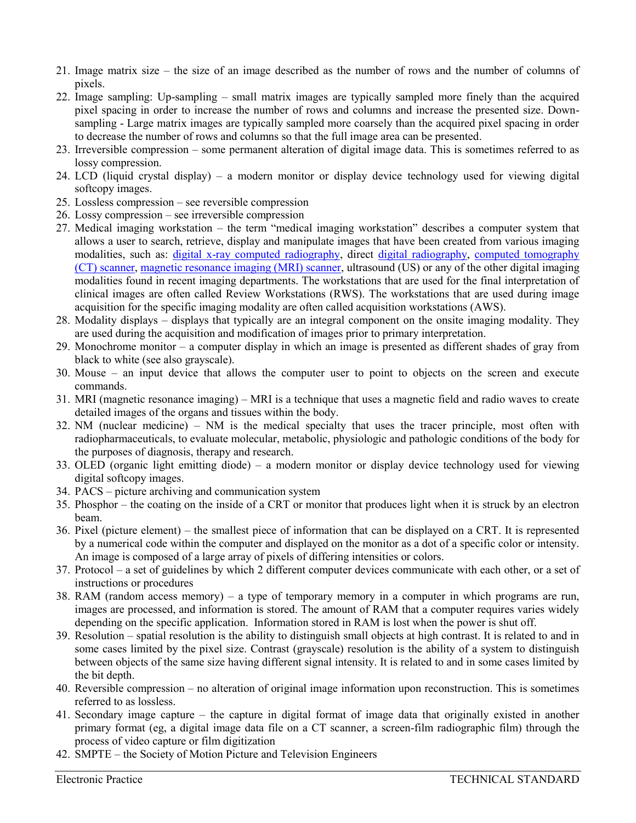- 21. Image matrix size the size of an image described as the number of rows and the number of columns of pixels.
- 22. Image sampling: Up-sampling small matrix images are typically sampled more finely than the acquired pixel spacing in order to increase the number of rows and columns and increase the presented size. Downsampling - Large matrix images are typically sampled more coarsely than the acquired pixel spacing in order to decrease the number of rows and columns so that the full image area can be presented.
- 23. Irreversible compression some permanent alteration of digital image data. This is sometimes referred to as lossy compression.
- 24. LCD (liquid crystal display) a modern monitor or display device technology used for viewing digital softcopy images.
- 25. Lossless compression see reversible compression
- 26. Lossy compression see irreversible compression
- 27. Medical imaging workstation the term "medical imaging workstation" describes a computer system that allows a user to search, retrieve, display and manipulate images that have been created from various imaging modalities, such as: [digital x-ray computed radiography,](http://www.medwow.com/used-x-ray-generator-equipment/219.med) direct [digital radiography,](http://www.medwow.com/used-rad-room-digital-equipment/561.med) [computed tomography](http://www.medwow.com/used-ct-scanner-equipment/210.med)  [\(CT\) scanner,](http://www.medwow.com/used-ct-scanner-equipment/210.med) [magnetic resonance imaging \(MRI\) scanner,](http://www.medwow.com/used-mri-equipment/236.med) ultrasound (US) or any of the other digital imaging modalities found in recent imaging departments. The workstations that are used for the final interpretation of clinical images are often called Review Workstations (RWS). The workstations that are used during image acquisition for the specific imaging modality are often called acquisition workstations (AWS).
- 28. Modality displays displays that typically are an integral component on the onsite imaging modality. They are used during the acquisition and modification of images prior to primary interpretation.
- 29. Monochrome monitor a computer display in which an image is presented as different shades of gray from black to white (see also grayscale).
- 30. Mouse an input device that allows the computer user to point to objects on the screen and execute commands.
- 31. MRI (magnetic resonance imaging) MRI is a technique that uses a magnetic field and radio waves to create detailed images of the organs and tissues within the body.
- 32. NM (nuclear medicine) NM is the medical specialty that uses the tracer principle, most often with radiopharmaceuticals, to evaluate molecular, metabolic, physiologic and pathologic conditions of the body for the purposes of diagnosis, therapy and research.
- 33. OLED (organic light emitting diode) a modern monitor or display device technology used for viewing digital softcopy images.
- 34. PACS picture archiving and communication system
- 35. Phosphor the coating on the inside of a CRT or monitor that produces light when it is struck by an electron beam.
- 36. Pixel (picture element) the smallest piece of information that can be displayed on a CRT. It is represented by a numerical code within the computer and displayed on the monitor as a dot of a specific color or intensity. An image is composed of a large array of pixels of differing intensities or colors.
- 37. Protocol a set of guidelines by which 2 different computer devices communicate with each other, or a set of instructions or procedures
- 38. RAM (random access memory) a type of temporary memory in a computer in which programs are run, images are processed, and information is stored. The amount of RAM that a computer requires varies widely depending on the specific application. Information stored in RAM is lost when the power is shut off.
- 39. Resolution spatial resolution is the ability to distinguish small objects at high contrast. It is related to and in some cases limited by the pixel size. Contrast (grayscale) resolution is the ability of a system to distinguish between objects of the same size having different signal intensity. It is related to and in some cases limited by the bit depth.
- 40. Reversible compression no alteration of original image information upon reconstruction. This is sometimes referred to as lossless.
- 41. Secondary image capture the capture in digital format of image data that originally existed in another primary format (eg, a digital image data file on a CT scanner, a screen-film radiographic film) through the process of video capture or film digitization
- 42. SMPTE the Society of Motion Picture and Television Engineers